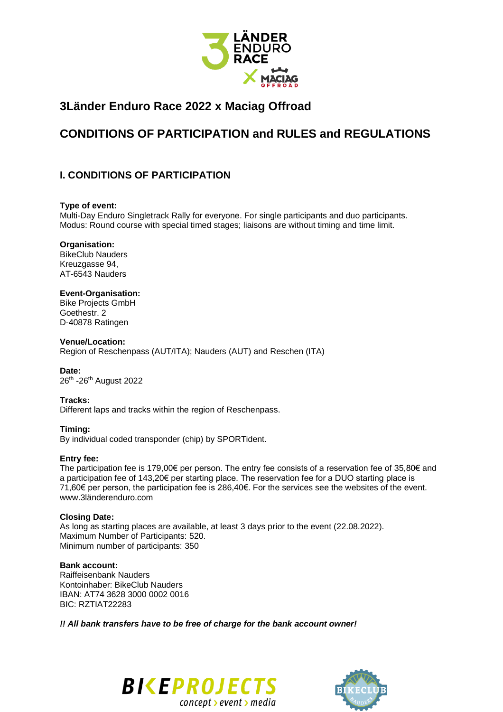

# **3Länder Enduro Race 2022 x Maciag Offroad**

# **CONDITIONS OF PARTICIPATION and RULES and REGULATIONS**

# **I. CONDITIONS OF PARTICIPATION**

# **Type of event:**

Multi-Day Enduro Singletrack Rally for everyone. For single participants and duo participants. Modus: Round course with special timed stages; liaisons are without timing and time limit.

# **Organisation:**

BikeClub Nauders Kreuzgasse 94, AT-6543 Nauders

# **Event-Organisation:**

Bike Projects GmbH Goethestr. 2 D-40878 Ratingen

# **Venue/Location:**

Region of Reschenpass (AUT/ITA); Nauders (AUT) and Reschen (ITA)

**Date:** 26<sup>th</sup> -26<sup>th</sup> August 2022

# **Tracks:**

Different laps and tracks within the region of Reschenpass.

**Timing:**

By individual coded transponder (chip) by SPORTident.

# **Entry fee:**

The participation fee is 179,00€ per person. The entry fee consists of a reservation fee of 35,80€ and a participation fee of 143,20€ per starting place. The reservation fee for a DUO starting place is 71,60€ per person, the participation fee is 286,40€. For the services see the websites of the event. www.3länderenduro.com

# **Closing Date:**

As long as starting places are available, at least 3 days prior to the event (22.08.2022). Maximum Number of Participants: 520. Minimum number of participants: 350

# **Bank account:**

Raiffeisenbank Nauders Kontoinhaber: BikeClub Nauders IBAN: AT74 3628 3000 0002 0016 BIC: RZTIAT22283

*!! All bank transfers have to be free of charge for the bank account owner!*



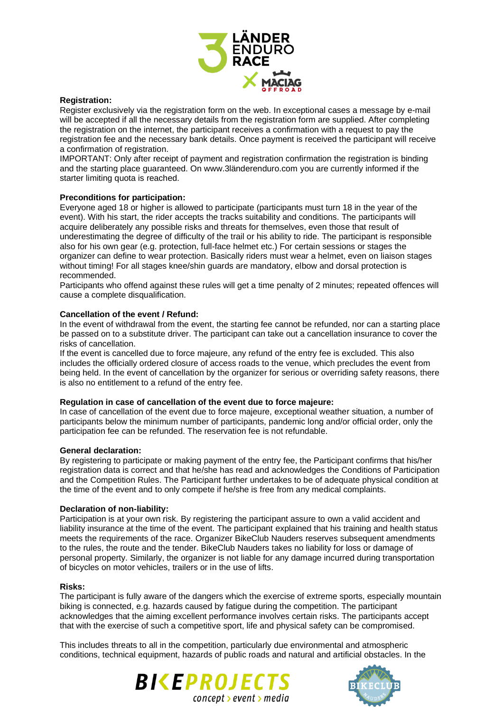

## **Registration:**

Register exclusively via the registration form on the web. In exceptional cases a message by e-mail will be accepted if all the necessary details from the registration form are supplied. After completing the registration on the internet, the participant receives a confirmation with a request to pay the registration fee and the necessary bank details. Once payment is received the participant will receive a confirmation of registration.

IMPORTANT: Only after receipt of payment and registration confirmation the registration is binding and the starting place guaranteed. On www.3länderenduro.com you are currently informed if the starter limiting quota is reached.

## **Preconditions for participation:**

Everyone aged 18 or higher is allowed to participate (participants must turn 18 in the year of the event). With his start, the rider accepts the tracks suitability and conditions. The participants will acquire deliberately any possible risks and threats for themselves, even those that result of underestimating the degree of difficulty of the trail or his ability to ride. The participant is responsible also for his own gear (e.g. protection, full-face helmet etc.) For certain sessions or stages the organizer can define to wear protection. Basically riders must wear a helmet, even on liaison stages without timing! For all stages knee/shin guards are mandatory, elbow and dorsal protection is recommended.

Participants who offend against these rules will get a time penalty of 2 minutes; repeated offences will cause a complete disqualification.

### **Cancellation of the event / Refund:**

In the event of withdrawal from the event, the starting fee cannot be refunded, nor can a starting place be passed on to a substitute driver. The participant can take out a cancellation insurance to cover the risks of cancellation.

If the event is cancelled due to force majeure, any refund of the entry fee is excluded. This also includes the officially ordered closure of access roads to the venue, which precludes the event from being held. In the event of cancellation by the organizer for serious or overriding safety reasons, there is also no entitlement to a refund of the entry fee.

### **Regulation in case of cancellation of the event due to force majeure:**

In case of cancellation of the event due to force majeure, exceptional weather situation, a number of participants below the minimum number of participants, pandemic long and/or official order, only the participation fee can be refunded. The reservation fee is not refundable.

### **General declaration:**

By registering to participate or making payment of the entry fee, the Participant confirms that his/her registration data is correct and that he/she has read and acknowledges the Conditions of Participation and the Competition Rules. The Participant further undertakes to be of adequate physical condition at the time of the event and to only compete if he/she is free from any medical complaints.

### **Declaration of non-liability:**

Participation is at your own risk. By registering the participant assure to own a valid accident and liability insurance at the time of the event. The participant explained that his training and health status meets the requirements of the race. Organizer BikeClub Nauders reserves subsequent amendments to the rules, the route and the tender. BikeClub Nauders takes no liability for loss or damage of personal property. Similarly, the organizer is not liable for any damage incurred during transportation of bicycles on motor vehicles, trailers or in the use of lifts.

#### **Risks:**

The participant is fully aware of the dangers which the exercise of extreme sports, especially mountain biking is connected, e.g. hazards caused by fatigue during the competition. The participant acknowledges that the aiming excellent performance involves certain risks. The participants accept that with the exercise of such a competitive sport, life and physical safety can be compromised.

This includes threats to all in the competition, particularly due environmental and atmospheric conditions, technical equipment, hazards of public roads and natural and artificial obstacles. In the



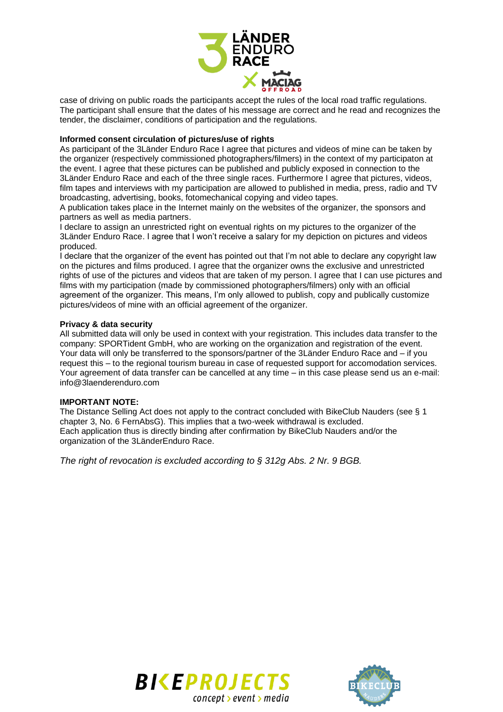

case of driving on public roads the participants accept the rules of the local road traffic regulations. The participant shall ensure that the dates of his message are correct and he read and recognizes the tender, the disclaimer, conditions of participation and the regulations.

## **Informed consent circulation of pictures/use of rights**

As participant of the 3Länder Enduro Race I agree that pictures and videos of mine can be taken by the organizer (respectively commissioned photographers/filmers) in the context of my participaton at the event. I agree that these pictures can be published and publicly exposed in connection to the 3Länder Enduro Race and each of the three single races. Furthermore I agree that pictures, videos, film tapes and interviews with my participation are allowed to published in media, press, radio and TV broadcasting, advertising, books, fotomechanical copying and video tapes.

A publication takes place in the Internet mainly on the websites of the organizer, the sponsors and partners as well as media partners.

I declare to assign an unrestricted right on eventual rights on my pictures to the organizer of the 3Länder Enduro Race. I agree that I won't receive a salary for my depiction on pictures and videos produced.

I declare that the organizer of the event has pointed out that I'm not able to declare any copyright law on the pictures and films produced. I agree that the organizer owns the exclusive and unrestricted rights of use of the pictures and videos that are taken of my person. I agree that I can use pictures and films with my participation (made by commissioned photographers/filmers) only with an official agreement of the organizer. This means, I'm only allowed to publish, copy and publically customize pictures/videos of mine with an official agreement of the organizer.

## **Privacy & data security**

All submitted data will only be used in context with your registration. This includes data transfer to the company: SPORTident GmbH, who are working on the organization and registration of the event. Your data will only be transferred to the sponsors/partner of the 3Länder Enduro Race and – if you request this – to the regional tourism bureau in case of requested support for accomodation services. Your agreement of data transfer can be cancelled at any time – in this case please send us an e-mail: info@3laenderenduro.com

# **IMPORTANT NOTE:**

The Distance Selling Act does not apply to the contract concluded with BikeClub Nauders (see § 1 chapter 3, No. 6 FernAbsG). This implies that a two-week withdrawal is excluded. Each application thus is directly binding after confirmation by BikeClub Nauders and/or the organization of the 3LänderEnduro Race.

*The right of revocation is excluded according to § 312g Abs. 2 Nr. 9 BGB.*



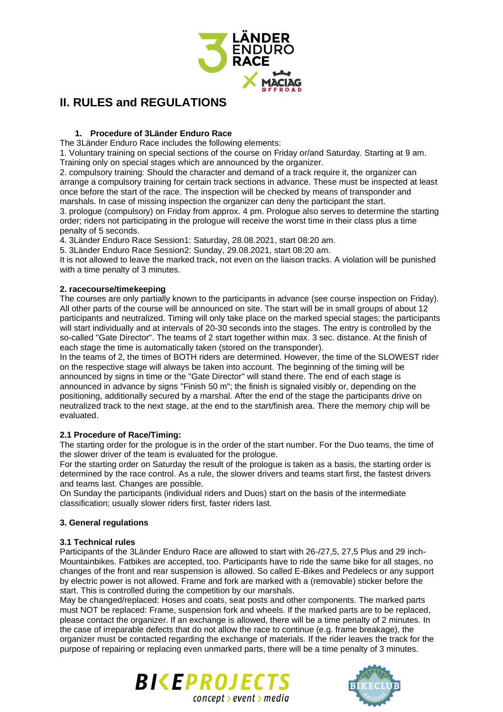

# **II. RULES and REGULATIONS**

# **1. Procedure of 3Länder Enduro Race**

The 3Länder Enduro Race includes the following elements:

1. Voluntary training on special sections of the course on Friday or/and Saturday. Starting at 9 am. Training only on special stages which are announced by the organizer.

2. compulsory training: Should the character and demand of a track require it, the organizer can arrange a compulsory training for certain track sections in advance. These must be inspected at least once before the start of the race. The inspection will be checked by means of transponder and marshals. In case of missing inspection the organizer can deny the participant the start.

3. prologue (compulsory) on Friday from approx. 4 pm. Prologue also serves to determine the starting order; riders not participating in the prologue will receive the worst time in their class plus a time penalty of 5 seconds.

4. 3Länder Enduro Race Session1: Saturday, 28.08.2021, start 08:20 am.

5. 3Länder Enduro Race Session2: Sunday, 29.08.2021, start 08:20 am.

It is not allowed to leave the marked track, not even on the liaison tracks. A violation will be punished with a time penalty of 3 minutes.

# **2. racecourse/timekeeping**

The courses are only partially known to the participants in advance (see course inspection on Friday). All other parts of the course will be announced on site. The start will be in small groups of about 12 participants and neutralized. Timing will only take place on the marked special stages; the participants will start individually and at intervals of 20-30 seconds into the stages. The entry is controlled by the so-called "Gate Director". The teams of 2 start together within max. 3 sec. distance. At the finish of each stage the time is automatically taken (stored on the transponder).

In the teams of 2, the times of BOTH riders are determined. However, the time of the SLOWEST rider on the respective stage will always be taken into account. The beginning of the timing will be announced by signs in time or the "Gate Director" will stand there. The end of each stage is announced in advance by signs "Finish 50 m"; the finish is signaled visibly or, depending on the positioning, additionally secured by a marshal. After the end of the stage the participants drive on neutralized track to the next stage, at the end to the start/finish area. There the memory chip will be evaluated.

# **2.1 Procedure of Race/Timing:**

The starting order for the prologue is in the order of the start number. For the Duo teams, the time of the slower driver of the team is evaluated for the prologue.

For the starting order on Saturday the result of the prologue is taken as a basis, the starting order is determined by the race control. As a rule, the slower drivers and teams start first, the fastest drivers and teams last. Changes are possible.

On Sunday the participants (individual riders and Duos) start on the basis of the intermediate classification; usually slower riders first, faster riders last.

# **3. General regulations**

# **3.1 Technical rules**

Participants of the 3Länder Enduro Race are allowed to start with 26-/27,5, 27,5 Plus and 29 inch-Mountainbikes. Fatbikes are accepted, too. Participants have to ride the same bike for all stages, no changes of the front and rear suspension is allowed. So called E-Bikes and Pedelecs or any support by electric power is not allowed. Frame and fork are marked with a (removable) sticker before the start. This is controlled during the competition by our marshals.

May be changed/replaced: Hoses and coats, seat posts and other components. The marked parts must NOT be replaced: Frame, suspension fork and wheels. If the marked parts are to be replaced, please contact the organizer. If an exchange is allowed, there will be a time penalty of 2 minutes. In the case of irreparable defects that do not allow the race to continue (e.g. frame breakage), the organizer must be contacted regarding the exchange of materials. If the rider leaves the track for the purpose of repairing or replacing even unmarked parts, there will be a time penalty of 3 minutes.